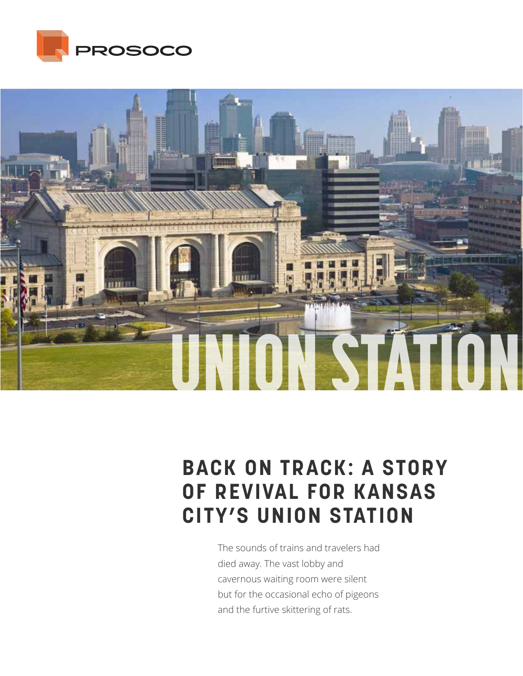



# **BACK ON TRACK: A STORY OF REVIVAL FOR KANSAS CITY'S UNION STATION**

The sounds of trains and travelers had died away. The vast lobby and cavernous waiting room were silent but for the occasional echo of pigeons and the furtive skittering of rats.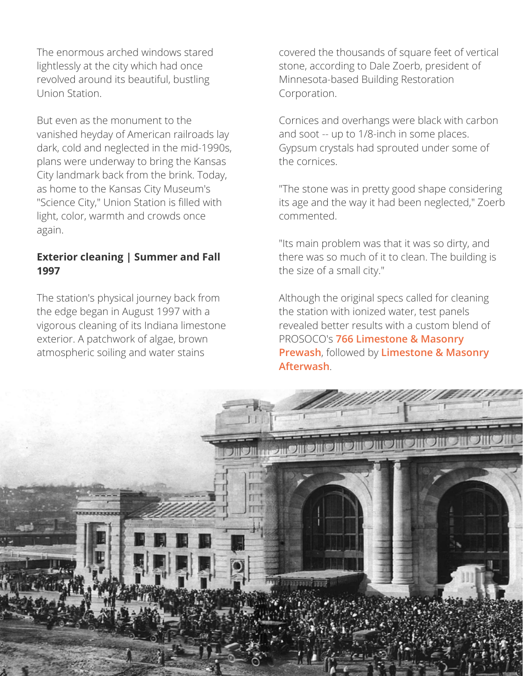The enormous arched windows stared lightlessly at the city which had once revolved around its beautiful, bustling Union Station.

But even as the monument to the vanished heyday of American railroads lay dark, cold and neglected in the mid-1990s, plans were underway to bring the Kansas City landmark back from the brink. Today, as home to the Kansas City Museum's "Science City," Union Station is filled with light, color, warmth and crowds once again.

#### **Exterior cleaning | Summer and Fall 1997**

The station's physical journey back from the edge began in August 1997 with a vigorous cleaning of its Indiana limestone exterior. A patchwork of algae, brown atmospheric soiling and water stains

covered the thousands of square feet of vertical stone, according to Dale Zoerb, president of Minnesota-based Building Restoration Corporation.

Cornices and overhangs were black with carbon and soot -- up to 1/8-inch in some places. Gypsum crystals had sprouted under some of the cornices.

"The stone was in pretty good shape considering its age and the way it had been neglected," Zoerb commented.

"Its main problem was that it was so dirty, and there was so much of it to clean. The building is the size of a small city."

Although the original specs called for cleaning the station with ionized water, test panels revealed better results with a custom blend of PROSOCO's **766 Limestone & Masonry Prewash**, followed by **Limestone & Masonry Afterwash**.

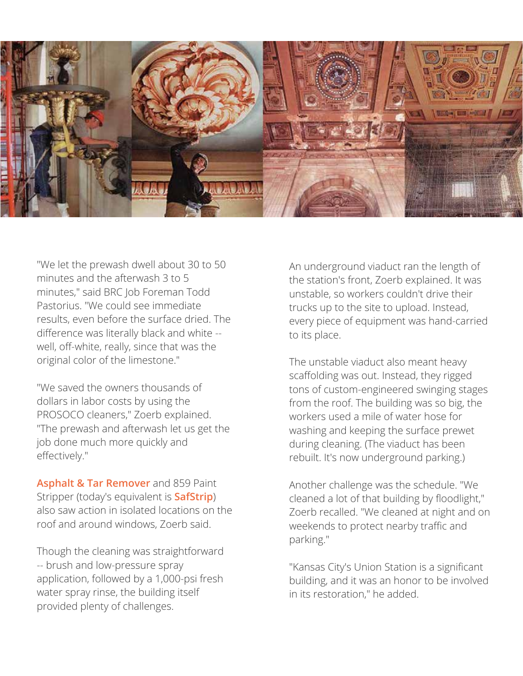

"We let the prewash dwell about 30 to 50 minutes and the afterwash 3 to 5 minutes," said BRC Job Foreman Todd Pastorius. "We could see immediate results, even before the surface dried. The difference was literally black and white - well, off-white, really, since that was the original color of the limestone."

"We saved the owners thousands of dollars in labor costs by using the PROSOCO cleaners," Zoerb explained. "The prewash and afterwash let us get the job done much more quickly and effectively."

**Asphalt & Tar Remover** and 859 Paint Stripper (today's equivalent is **SafStrip**) also saw action in isolated locations on the roof and around windows, Zoerb said.

Though the cleaning was straightforward -- brush and low-pressure spray application, followed by a 1,000-psi fresh water spray rinse, the building itself provided plenty of challenges.

An underground viaduct ran the length of the station's front, Zoerb explained. It was unstable, so workers couldn't drive their trucks up to the site to upload. Instead, every piece of equipment was hand-carried to its place.

The unstable viaduct also meant heavy scaffolding was out. Instead, they rigged tons of custom-engineered swinging stages from the roof. The building was so big, the workers used a mile of water hose for washing and keeping the surface prewet during cleaning. (The viaduct has been rebuilt. It's now underground parking.)

Another challenge was the schedule. "We cleaned a lot of that building by floodlight," Zoerb recalled. "We cleaned at night and on weekends to protect nearby traffic and parking."

"Kansas City's Union Station is a significant building, and it was an honor to be involved in its restoration," he added.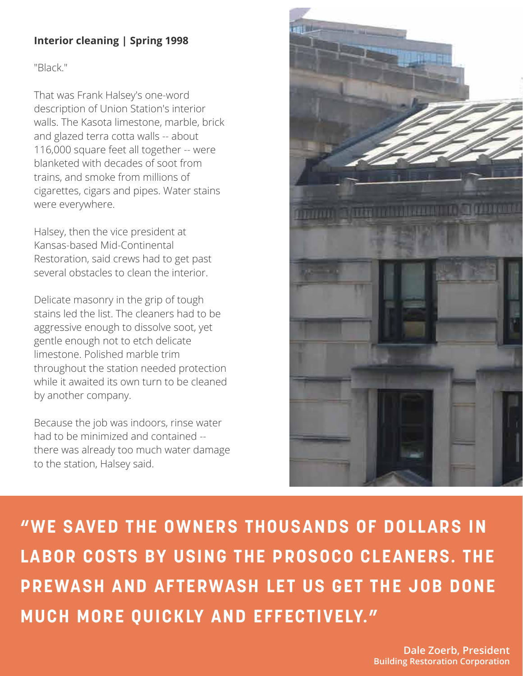## **Interior cleaning | Spring 1998**

"Black."

That was Frank Halsey's one-word description of Union Station's interior walls. The Kasota limestone, marble, brick and glazed terra cotta walls -- about 116,000 square feet all together -- were blanketed with decades of soot from trains, and smoke from millions of cigarettes, cigars and pipes. Water stains were everywhere.

Halsey, then the vice president at Kansas-based Mid-Continental Restoration, said crews had to get past several obstacles to clean the interior.

Delicate masonry in the grip of tough stains led the list. The cleaners had to be aggressive enough to dissolve soot, yet gentle enough not to etch delicate limestone. Polished marble trim throughout the station needed protection while it awaited its own turn to be cleaned by another company.

Because the job was indoors, rinse water had to be minimized and contained - there was already too much water damage to the station, Halsey said.



**"WE SAVED THE OWNERS THOUSANDS OF DOLLARS IN LABOR COSTS BY USING THE PROSOCO CLEANERS. THE PREWASH AND AFTERWASH LET US GET THE JOB DONE MUCH MORE QUICKLY AND EFFECTIVELY."** 

> **Dale Zoerb, President Building Restoration Corporation**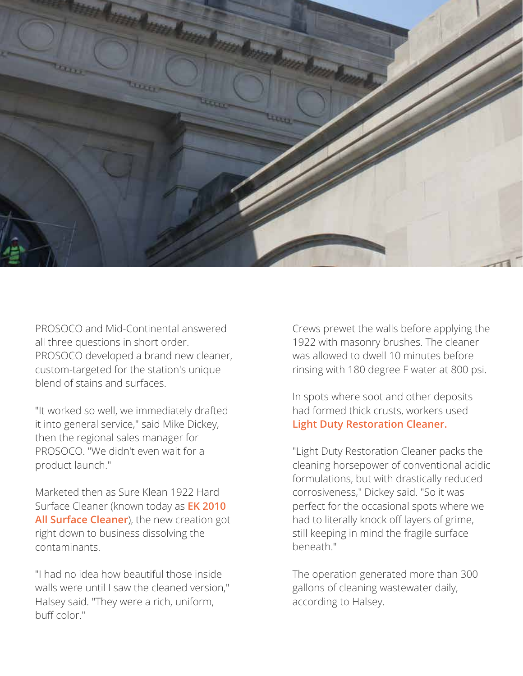

PROSOCO and Mid-Continental answered all three questions in short order. PROSOCO developed a brand new cleaner, custom-targeted for the station's unique blend of stains and surfaces.

"It worked so well, we immediately drafted it into general service," said Mike Dickey, then the regional sales manager for PROSOCO. "We didn't even wait for a product launch."

Marketed then as Sure Klean 1922 Hard Surface Cleaner (known today as **EK 2010 All Surface Cleaner**), the new creation got right down to business dissolving the contaminants.

"I had no idea how beautiful those inside walls were until I saw the cleaned version," Halsey said. "They were a rich, uniform, buff color."

Crews prewet the walls before applying the 1922 with masonry brushes. The cleaner was allowed to dwell 10 minutes before rinsing with 180 degree F water at 800 psi.

In spots where soot and other deposits had formed thick crusts, workers used **Light Duty Restoration Cleaner.**

"Light Duty Restoration Cleaner packs the cleaning horsepower of conventional acidic formulations, but with drastically reduced corrosiveness," Dickey said. "So it was perfect for the occasional spots where we had to literally knock off layers of grime, still keeping in mind the fragile surface beneath."

The operation generated more than 300 gallons of cleaning wastewater daily, according to Halsey.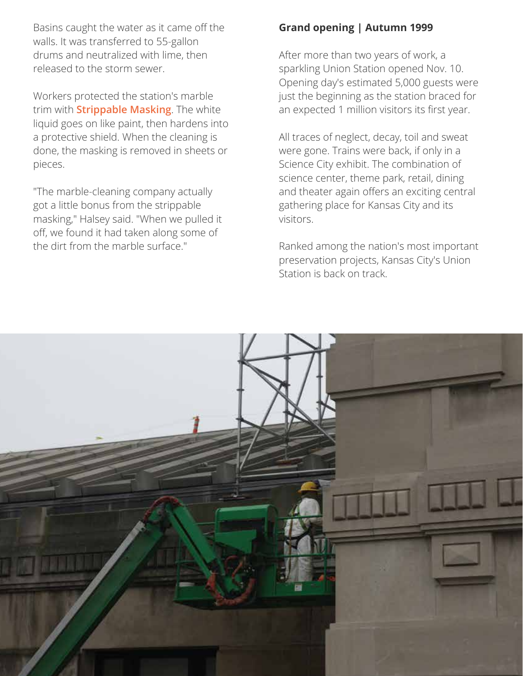Basins caught the water as it came off the walls. It was transferred to 55-gallon drums and neutralized with lime, then released to the storm sewer.

Workers protected the station's marble trim with **Strippable Masking**. The white liquid goes on like paint, then hardens into a protective shield. When the cleaning is done, the masking is removed in sheets or pieces.

"The marble-cleaning company actually got a little bonus from the strippable masking," Halsey said. "When we pulled it off, we found it had taken along some of the dirt from the marble surface."

### **Grand opening | Autumn 1999**

After more than two years of work, a sparkling Union Station opened Nov. 10. Opening day's estimated 5,000 guests were just the beginning as the station braced for an expected 1 million visitors its first year.

All traces of neglect, decay, toil and sweat were gone. Trains were back, if only in a Science City exhibit. The combination of science center, theme park, retail, dining and theater again offers an exciting central gathering place for Kansas City and its visitors.

Ranked among the nation's most important preservation projects, Kansas City's Union Station is back on track.

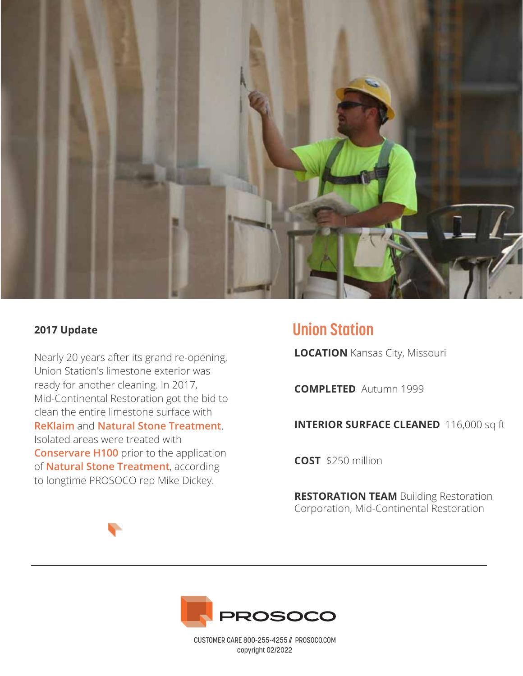

#### **2017 Update**

Nearly 20 years after its grand re-opening, Union Station's limestone exterior was ready for another cleaning. In 2017, Mid-Continental Restoration got the bid to clean the entire limestone surface with **ReKlaim** and **Natural Stone Treatment**. Isolated areas were treated with **Conservare H100** prior to the application of **Natural Stone Treatment**, according to longtime PROSOCO rep Mike Dickey.

# **Union Station**

**LOCATION** Kansas City, Missouri

**COMPLETED** Autumn 1999

**INTERIOR SURFACE CLEANED** 116,000 sq ft

**COST** \$250 million

**RESTORATION TEAM** Building Restoration Corporation, Mid-Continental Restoration



CUSTOMER CARE 800-255-4255 // PROSOCO.COM copyright 02/2022